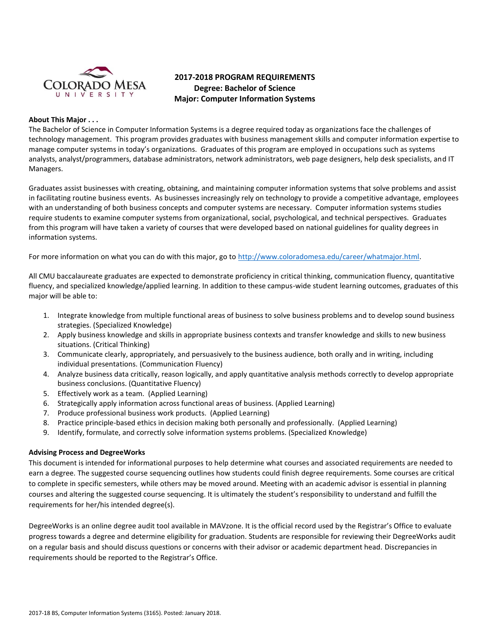

# **2017-2018 PROGRAM REQUIREMENTS Degree: Bachelor of Science Major: Computer Information Systems**

#### **About This Major . . .**

The Bachelor of Science in Computer Information Systems is a degree required today as organizations face the challenges of technology management. This program provides graduates with business management skills and computer information expertise to manage computer systems in today's organizations. Graduates of this program are employed in occupations such as systems analysts, analyst/programmers, database administrators, network administrators, web page designers, help desk specialists, and IT Managers.

Graduates assist businesses with creating, obtaining, and maintaining computer information systems that solve problems and assist in facilitating routine business events. As businesses increasingly rely on technology to provide a competitive advantage, employees with an understanding of both business concepts and computer systems are necessary. Computer information systems studies require students to examine computer systems from organizational, social, psychological, and technical perspectives. Graduates from this program will have taken a variety of courses that were developed based on national guidelines for quality degrees in information systems.

For more information on what you can do with this major, go to [http://www.coloradomesa.edu/career/whatmajor.html.](http://www.coloradomesa.edu/career/whatmajor.html)

All CMU baccalaureate graduates are expected to demonstrate proficiency in critical thinking, communication fluency, quantitative fluency, and specialized knowledge/applied learning. In addition to these campus-wide student learning outcomes, graduates of this major will be able to:

- 1. Integrate knowledge from multiple functional areas of business to solve business problems and to develop sound business strategies. (Specialized Knowledge)
- 2. Apply business knowledge and skills in appropriate business contexts and transfer knowledge and skills to new business situations. (Critical Thinking)
- 3. Communicate clearly, appropriately, and persuasively to the business audience, both orally and in writing, including individual presentations. (Communication Fluency)
- 4. Analyze business data critically, reason logically, and apply quantitative analysis methods correctly to develop appropriate business conclusions. (Quantitative Fluency)
- 5. Effectively work as a team. (Applied Learning)
- 6. Strategically apply information across functional areas of business. (Applied Learning)
- 7. Produce professional business work products. (Applied Learning)
- 8. Practice principle-based ethics in decision making both personally and professionally. (Applied Learning)
- 9. Identify, formulate, and correctly solve information systems problems. (Specialized Knowledge)

#### **Advising Process and DegreeWorks**

This document is intended for informational purposes to help determine what courses and associated requirements are needed to earn a degree. The suggested course sequencing outlines how students could finish degree requirements. Some courses are critical to complete in specific semesters, while others may be moved around. Meeting with an academic advisor is essential in planning courses and altering the suggested course sequencing. It is ultimately the student's responsibility to understand and fulfill the requirements for her/his intended degree(s).

DegreeWorks is an online degree audit tool available in MAVzone. It is the official record used by the Registrar's Office to evaluate progress towards a degree and determine eligibility for graduation. Students are responsible for reviewing their DegreeWorks audit on a regular basis and should discuss questions or concerns with their advisor or academic department head. Discrepancies in requirements should be reported to the Registrar's Office.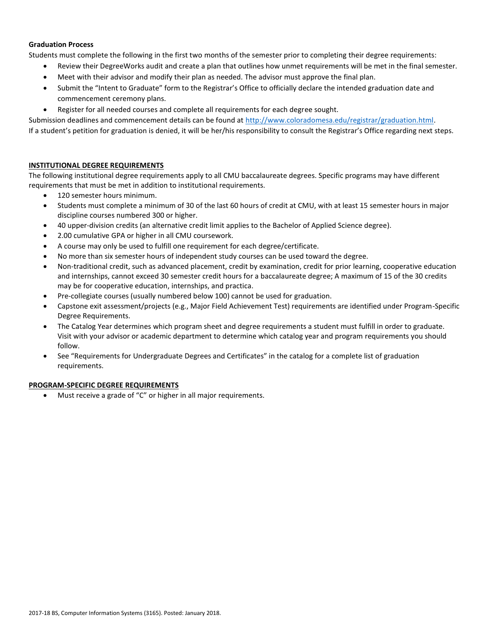### **Graduation Process**

Students must complete the following in the first two months of the semester prior to completing their degree requirements:

- Review their DegreeWorks audit and create a plan that outlines how unmet requirements will be met in the final semester.
- Meet with their advisor and modify their plan as needed. The advisor must approve the final plan.
- Submit the "Intent to Graduate" form to the Registrar's Office to officially declare the intended graduation date and commencement ceremony plans.
- Register for all needed courses and complete all requirements for each degree sought.

Submission deadlines and commencement details can be found at [http://www.coloradomesa.edu/registrar/graduation.html.](http://www.coloradomesa.edu/registrar/graduation.html) If a student's petition for graduation is denied, it will be her/his responsibility to consult the Registrar's Office regarding next steps.

# **INSTITUTIONAL DEGREE REQUIREMENTS**

The following institutional degree requirements apply to all CMU baccalaureate degrees. Specific programs may have different requirements that must be met in addition to institutional requirements.

- 120 semester hours minimum.
- Students must complete a minimum of 30 of the last 60 hours of credit at CMU, with at least 15 semester hours in major discipline courses numbered 300 or higher.
- 40 upper-division credits (an alternative credit limit applies to the Bachelor of Applied Science degree).
- 2.00 cumulative GPA or higher in all CMU coursework.
- A course may only be used to fulfill one requirement for each degree/certificate.
- No more than six semester hours of independent study courses can be used toward the degree.
- Non-traditional credit, such as advanced placement, credit by examination, credit for prior learning, cooperative education and internships, cannot exceed 30 semester credit hours for a baccalaureate degree; A maximum of 15 of the 30 credits may be for cooperative education, internships, and practica.
- Pre-collegiate courses (usually numbered below 100) cannot be used for graduation.
- Capstone exit assessment/projects (e.g., Major Field Achievement Test) requirements are identified under Program-Specific Degree Requirements.
- The Catalog Year determines which program sheet and degree requirements a student must fulfill in order to graduate. Visit with your advisor or academic department to determine which catalog year and program requirements you should follow.
- See "Requirements for Undergraduate Degrees and Certificates" in the catalog for a complete list of graduation requirements.

# **PROGRAM-SPECIFIC DEGREE REQUIREMENTS**

Must receive a grade of "C" or higher in all major requirements.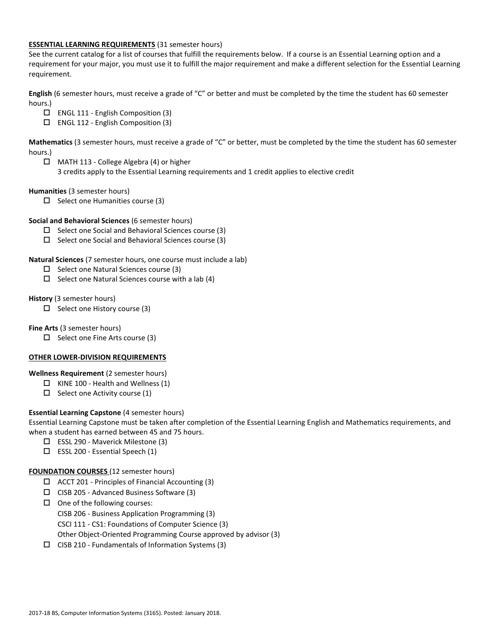### **ESSENTIAL LEARNING REQUIREMENTS** (31 semester hours)

See the current catalog for a list of courses that fulfill the requirements below. If a course is an Essential Learning option and a requirement for your major, you must use it to fulfill the major requirement and make a different selection for the Essential Learning requirement.

**English** (6 semester hours, must receive a grade of "C" or better and must be completed by the time the student has 60 semester hours.)

- ENGL 111 English Composition (3)
- ENGL 112 English Composition (3)

**Mathematics** (3 semester hours, must receive a grade of "C" or better, must be completed by the time the student has 60 semester hours.)

- MATH 113 College Algebra (4) or higher
	- 3 credits apply to the Essential Learning requirements and 1 credit applies to elective credit

**Humanities** (3 semester hours)

 $\Box$  Select one Humanities course (3)

**Social and Behavioral Sciences** (6 semester hours)

- $\Box$  Select one Social and Behavioral Sciences course (3)
- $\Box$  Select one Social and Behavioral Sciences course (3)

**Natural Sciences** (7 semester hours, one course must include a lab)

- $\Box$  Select one Natural Sciences course (3)
- $\square$  Select one Natural Sciences course with a lab (4)

### **History** (3 semester hours)

 $\Box$  Select one History course (3)

**Fine Arts** (3 semester hours)

 $\square$  Select one Fine Arts course (3)

#### **OTHER LOWER-DIVISION REQUIREMENTS**

**Wellness Requirement** (2 semester hours)

- $\Box$  KINE 100 Health and Wellness (1)
- $\Box$  Select one Activity course (1)

# **Essential Learning Capstone** (4 semester hours)

Essential Learning Capstone must be taken after completion of the Essential Learning English and Mathematics requirements, and when a student has earned between 45 and 75 hours.

- ESSL 290 Maverick Milestone (3)
- $\Box$  ESSL 200 Essential Speech (1)

# **FOUNDATION COURSES** (12 semester hours)

- $\Box$  ACCT 201 Principles of Financial Accounting (3)
- $\Box$  CISB 205 Advanced Business Software (3)
- $\Box$  One of the following courses:
	- CISB 206 Business Application Programming (3)
	- CSCI 111 CS1: Foundations of Computer Science (3)
	- Other Object-Oriented Programming Course approved by advisor (3)
- $\Box$  CISB 210 Fundamentals of Information Systems (3)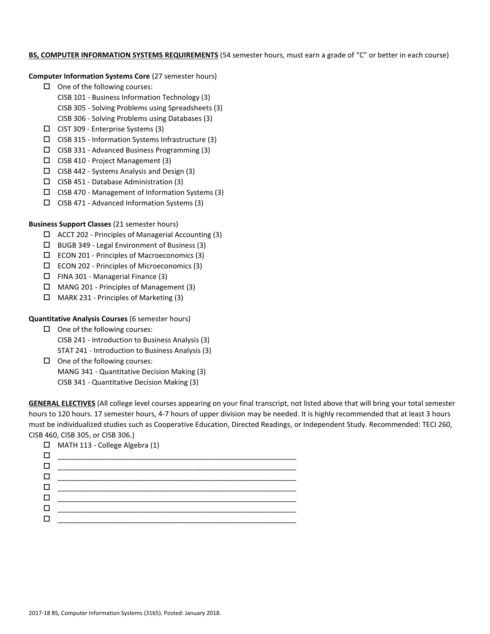#### **BS, COMPUTER INFORMATION SYSTEMS REQUIREMENTS** (54 semester hours, must earn a grade of "C" or better in each course)

#### **Computer Information Systems Core** (27 semester hours)

- $\Box$  One of the following courses:
	- CISB 101 Business Information Technology (3)
	- CISB 305 Solving Problems using Spreadsheets (3)
	- CISB 306 Solving Problems using Databases (3)
- $\Box$  CIST 309 Enterprise Systems (3)
- $\Box$  CISB 315 Information Systems Infrastructure (3)
- $\square$  CISB 331 Advanced Business Programming (3)
- CISB 410 Project Management (3)
- $\Box$  CISB 442 Systems Analysis and Design (3)
- $\Box$  CISB 451 Database Administration (3)
- $\Box$  CISB 470 Management of Information Systems (3)
- $\square$  CISB 471 Advanced Information Systems (3)

# **Business Support Classes** (21 semester hours)

- $\Box$  ACCT 202 Principles of Managerial Accounting (3)
- BUGB 349 Legal Environment of Business (3)
- ECON 201 Principles of Macroeconomics (3)
- $\Box$  ECON 202 Principles of Microeconomics (3)
- $\Box$  FINA 301 Managerial Finance (3)
- $\Box$  MANG 201 Principles of Management (3)
- $\Box$  MARK 231 Principles of Marketing (3)

# **Quantitative Analysis Courses** (6 semester hours)

- $\Box$  One of the following courses: CISB 241 - Introduction to Business Analysis (3) STAT 241 - Introduction to Business Analysis (3)
- $\Box$  One of the following courses: MANG 341 - Quantitative Decision Making (3) CISB 341 - Quantitative Decision Making (3)

**GENERAL ELECTIVES** (All college level courses appearing on your final transcript, not listed above that will bring your total semester hours to 120 hours. 17 semester hours, 4-7 hours of upper division may be needed. It is highly recommended that at least 3 hours must be individualized studies such as Cooperative Education, Directed Readings, or Independent Study. Recommended: TECI 260, CISB 460, CISB 305, or CISB 306.)

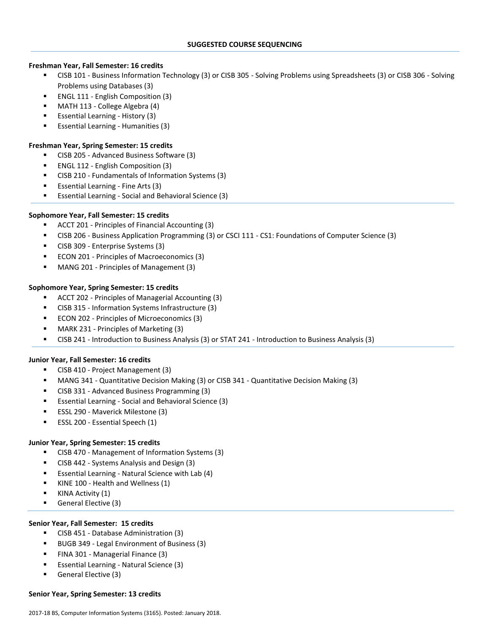# **Freshman Year, Fall Semester: 16 credits**

- CISB 101 Business Information Technology (3) or CISB 305 Solving Problems using Spreadsheets (3) or CISB 306 Solving Problems using Databases (3)
- ENGL 111 English Composition (3)
- MATH 113 College Algebra (4)
- Essential Learning History (3)
- Essential Learning Humanities (3)

### **Freshman Year, Spring Semester: 15 credits**

- CISB 205 Advanced Business Software (3)
- ENGL 112 English Composition (3)
- CISB 210 Fundamentals of Information Systems (3)
- Essential Learning Fine Arts (3)
- Essential Learning Social and Behavioral Science (3)

# **Sophomore Year, Fall Semester: 15 credits**

- ACCT 201 Principles of Financial Accounting (3)
- CISB 206 Business Application Programming (3) or CSCI 111 CS1: Foundations of Computer Science (3)
- CISB 309 Enterprise Systems (3)
- ECON 201 Principles of Macroeconomics (3)
- MANG 201 Principles of Management (3)

# **Sophomore Year, Spring Semester: 15 credits**

- ACCT 202 Principles of Managerial Accounting (3)
- CISB 315 Information Systems Infrastructure (3)
- ECON 202 Principles of Microeconomics (3)
- MARK 231 Principles of Marketing (3)
- CISB 241 Introduction to Business Analysis (3) or STAT 241 Introduction to Business Analysis (3)

# **Junior Year, Fall Semester: 16 credits**

- CISB 410 Project Management (3)
- MANG 341 Quantitative Decision Making (3) or CISB 341 Quantitative Decision Making (3)
- CISB 331 Advanced Business Programming (3)
- Essential Learning Social and Behavioral Science (3)
- **ESSL 290 Maverick Milestone (3)**
- **ESSL 200 Essential Speech (1)**

# **Junior Year, Spring Semester: 15 credits**

- CISB 470 Management of Information Systems (3)
- CISB 442 Systems Analysis and Design (3)
- Essential Learning Natural Science with Lab (4)
- KINE 100 Health and Wellness (1)
- KINA Activity (1)
- General Elective (3)

#### **Senior Year, Fall Semester: 15 credits**

- CISB 451 Database Administration (3)
- BUGB 349 Legal Environment of Business (3)
- FINA 301 Managerial Finance (3)
- Essential Learning Natural Science (3)
- General Elective (3)

#### **Senior Year, Spring Semester: 13 credits**